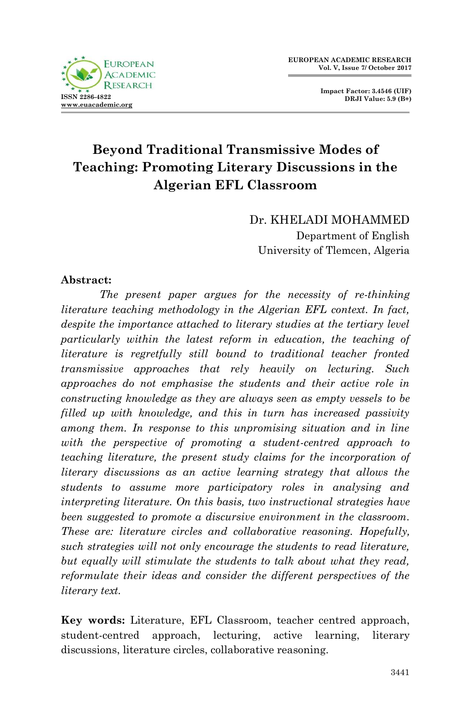

 **Impact Factor: 3.4546 (UIF) DRJI Value: 5.9 (B+)**

# **Beyond Traditional Transmissive Modes of Teaching: Promoting Literary Discussions in the Algerian EFL Classroom**

Dr. KHELADI MOHAMMED Department of English University of Tlemcen, Algeria

#### **Abstract:**

*The present paper argues for the necessity of re-thinking literature teaching methodology in the Algerian EFL context. In fact, despite the importance attached to literary studies at the tertiary level particularly within the latest reform in education, the teaching of literature is regretfully still bound to traditional teacher fronted transmissive approaches that rely heavily on lecturing. Such approaches do not emphasise the students and their active role in constructing knowledge as they are always seen as empty vessels to be filled up with knowledge, and this in turn has increased passivity among them. In response to this unpromising situation and in line with the perspective of promoting a student-centred approach to teaching literature, the present study claims for the incorporation of literary discussions as an active learning strategy that allows the students to assume more participatory roles in analysing and interpreting literature. On this basis, two instructional strategies have been suggested to promote a discursive environment in the classroom. These are: literature circles and collaborative reasoning. Hopefully, such strategies will not only encourage the students to read literature, but equally will stimulate the students to talk about what they read, reformulate their ideas and consider the different perspectives of the literary text.* 

**Key words:** Literature, EFL Classroom, teacher centred approach, student-centred approach, lecturing, active learning, literary discussions, literature circles, collaborative reasoning.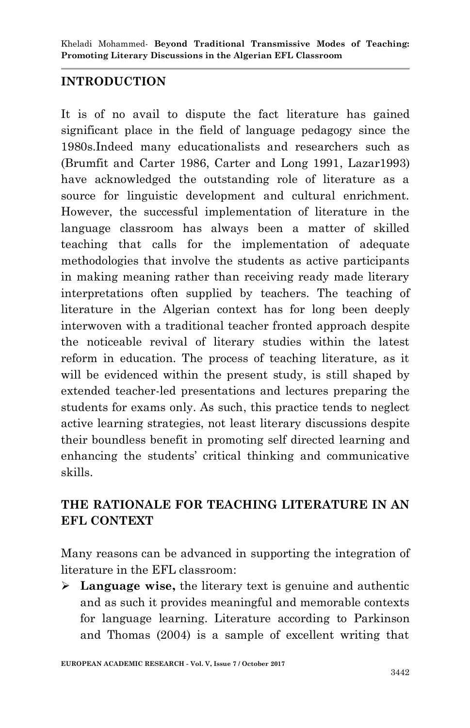## **INTRODUCTION**

It is of no avail to dispute the fact literature has gained significant place in the field of language pedagogy since the 1980s.Indeed many educationalists and researchers such as (Brumfit and Carter 1986, Carter and Long 1991, Lazar1993) have acknowledged the outstanding role of literature as a source for linguistic development and cultural enrichment. However, the successful implementation of literature in the language classroom has always been a matter of skilled teaching that calls for the implementation of adequate methodologies that involve the students as active participants in making meaning rather than receiving ready made literary interpretations often supplied by teachers. The teaching of literature in the Algerian context has for long been deeply interwoven with a traditional teacher fronted approach despite the noticeable revival of literary studies within the latest reform in education. The process of teaching literature, as it will be evidenced within the present study, is still shaped by extended teacher-led presentations and lectures preparing the students for exams only. As such, this practice tends to neglect active learning strategies, not least literary discussions despite their boundless benefit in promoting self directed learning and enhancing the students' critical thinking and communicative skills.

## **THE RATIONALE FOR TEACHING LITERATURE IN AN EFL CONTEXT**

Many reasons can be advanced in supporting the integration of literature in the EFL classroom:

 **Language wise,** the literary text is genuine and authentic and as such it provides meaningful and memorable contexts for language learning. Literature according to Parkinson and Thomas (2004) is a sample of excellent writing that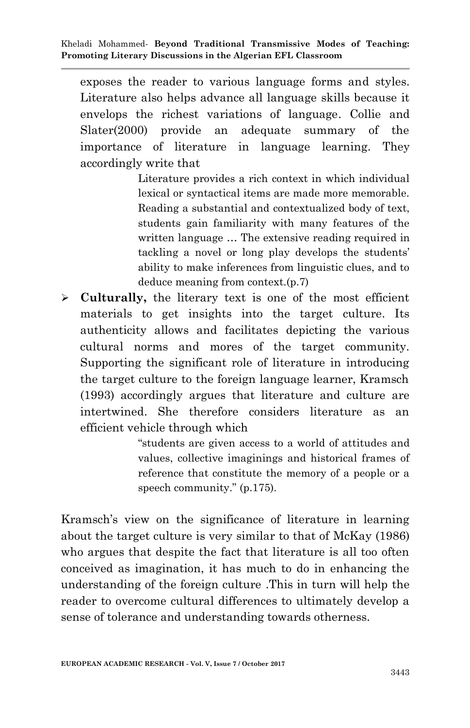exposes the reader to various language forms and styles. Literature also helps advance all language skills because it envelops the richest variations of language. Collie and Slater(2000) provide an adequate summary of the importance of literature in language learning. They accordingly write that

> Literature provides a rich context in which individual lexical or syntactical items are made more memorable. Reading a substantial and contextualized body of text, students gain familiarity with many features of the written language … The extensive reading required in tackling a novel or long play develops the students' ability to make inferences from linguistic clues, and to deduce meaning from context.(p.7)

 **Culturally,** the literary text is one of the most efficient materials to get insights into the target culture. Its authenticity allows and facilitates depicting the various cultural norms and mores of the target community. Supporting the significant role of literature in introducing the target culture to the foreign language learner, Kramsch (1993) accordingly argues that literature and culture are intertwined. She therefore considers literature as an efficient vehicle through which

> "students are given access to a world of attitudes and values, collective imaginings and historical frames of reference that constitute the memory of a people or a speech community." (p.175).

Kramsch's view on the significance of literature in learning about the target culture is very similar to that of McKay (1986) who argues that despite the fact that literature is all too often conceived as imagination, it has much to do in enhancing the understanding of the foreign culture .This in turn will help the reader to overcome cultural differences to ultimately develop a sense of tolerance and understanding towards otherness.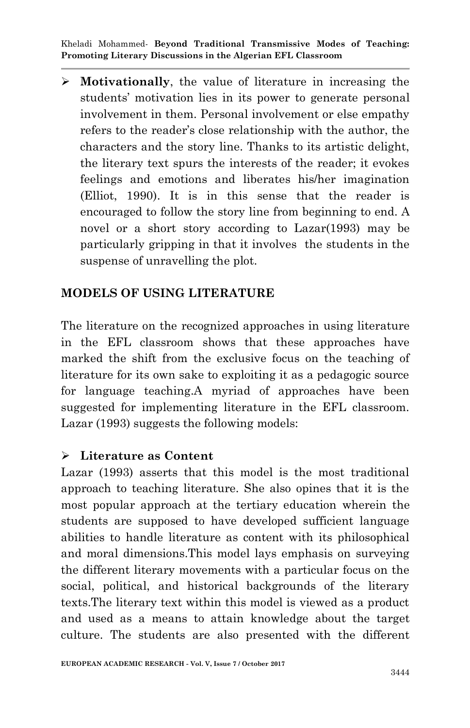**Motivationally**, the value of literature in increasing the students" motivation lies in its power to generate personal involvement in them. Personal involvement or else empathy refers to the reader"s close relationship with the author, the characters and the story line. Thanks to its artistic delight, the literary text spurs the interests of the reader; it evokes feelings and emotions and liberates his/her imagination (Elliot, 1990). It is in this sense that the reader is encouraged to follow the story line from beginning to end. A novel or a short story according to Lazar(1993) may be particularly gripping in that it involves the students in the suspense of unravelling the plot.

### **MODELS OF USING LITERATURE**

The literature on the recognized approaches in using literature in the EFL classroom shows that these approaches have marked the shift from the exclusive focus on the teaching of literature for its own sake to exploiting it as a pedagogic source for language teaching.A myriad of approaches have been suggested for implementing literature in the EFL classroom. Lazar (1993) suggests the following models:

### **Literature as Content**

Lazar (1993) asserts that this model is the most traditional approach to teaching literature. She also opines that it is the most popular approach at the tertiary education wherein the students are supposed to have developed sufficient language abilities to handle literature as content with its philosophical and moral dimensions.This model lays emphasis on surveying the different literary movements with a particular focus on the social, political, and historical backgrounds of the literary texts.The literary text within this model is viewed as a product and used as a means to attain knowledge about the target culture. The students are also presented with the different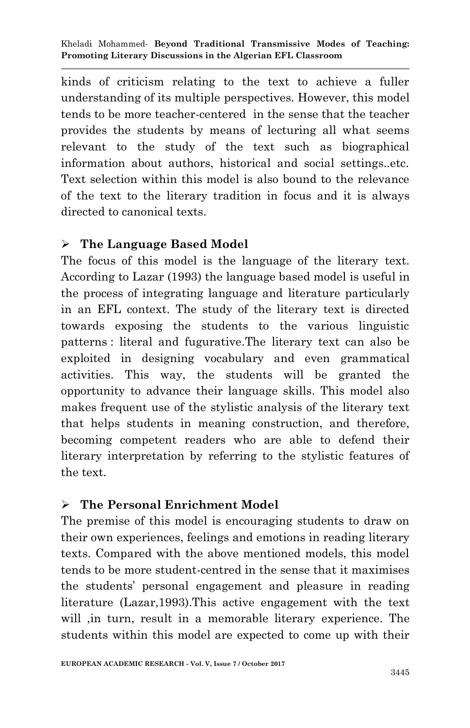kinds of criticism relating to the text to achieve a fuller understanding of its multiple perspectives. However, this model tends to be more teacher-centered in the sense that the teacher provides the students by means of lecturing all what seems relevant to the study of the text such as biographical information about authors, historical and social settings..etc. Text selection within this model is also bound to the relevance of the text to the literary tradition in focus and it is always directed to canonical texts.

### **The Language Based Model**

The focus of this model is the language of the literary text. According to Lazar (1993) the language based model is useful in the process of integrating language and literature particularly in an EFL context. The study of the literary text is directed towards exposing the students to the various linguistic patterns : literal and fugurative.The literary text can also be exploited in designing vocabulary and even grammatical activities. This way, the students will be granted the opportunity to advance their language skills. This model also makes frequent use of the stylistic analysis of the literary text that helps students in meaning construction, and therefore, becoming competent readers who are able to defend their literary interpretation by referring to the stylistic features of the text.

## **The Personal Enrichment Model**

The premise of this model is encouraging students to draw on their own experiences, feelings and emotions in reading literary texts. Compared with the above mentioned models, this model tends to be more student-centred in the sense that it maximises the students" personal engagement and pleasure in reading literature (Lazar,1993).This active engagement with the text will ,in turn, result in a memorable literary experience. The students within this model are expected to come up with their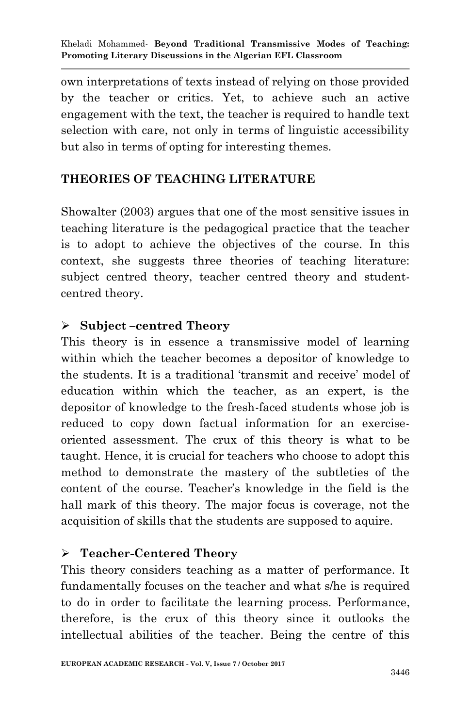own interpretations of texts instead of relying on those provided by the teacher or critics. Yet, to achieve such an active engagement with the text, the teacher is required to handle text selection with care, not only in terms of linguistic accessibility but also in terms of opting for interesting themes.

## **THEORIES OF TEACHING LITERATURE**

Showalter (2003) argues that one of the most sensitive issues in teaching literature is the pedagogical practice that the teacher is to adopt to achieve the objectives of the course. In this context, she suggests three theories of teaching literature: subject centred theory, teacher centred theory and studentcentred theory.

## **Subject –centred Theory**

This theory is in essence a transmissive model of learning within which the teacher becomes a depositor of knowledge to the students. It is a traditional 'transmit and receive' model of education within which the teacher, as an expert, is the depositor of knowledge to the fresh-faced students whose job is reduced to copy down factual information for an exerciseoriented assessment. The crux of this theory is what to be taught. Hence, it is crucial for teachers who choose to adopt this method to demonstrate the mastery of the subtleties of the content of the course. Teacher"s knowledge in the field is the hall mark of this theory. The major focus is coverage, not the acquisition of skills that the students are supposed to aquire.

### **Teacher-Centered Theory**

This theory considers teaching as a matter of performance. It fundamentally focuses on the teacher and what s/he is required to do in order to facilitate the learning process. Performance, therefore, is the crux of this theory since it outlooks the intellectual abilities of the teacher. Being the centre of this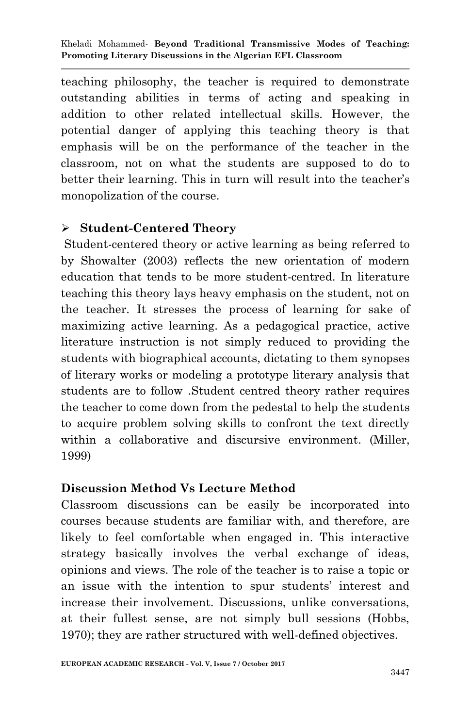teaching philosophy, the teacher is required to demonstrate outstanding abilities in terms of acting and speaking in addition to other related intellectual skills. However, the potential danger of applying this teaching theory is that emphasis will be on the performance of the teacher in the classroom, not on what the students are supposed to do to better their learning. This in turn will result into the teacher's monopolization of the course.

### **Student-Centered Theory**

Student-centered theory or active learning as being referred to by Showalter (2003) reflects the new orientation of modern education that tends to be more student-centred. In literature teaching this theory lays heavy emphasis on the student, not on the teacher. It stresses the process of learning for sake of maximizing active learning. As a pedagogical practice, active literature instruction is not simply reduced to providing the students with biographical accounts, dictating to them synopses of literary works or modeling a prototype literary analysis that students are to follow .Student centred theory rather requires the teacher to come down from the pedestal to help the students to acquire problem solving skills to confront the text directly within a collaborative and discursive environment. (Miller, 1999)

### **Discussion Method Vs Lecture Method**

Classroom discussions can be easily be incorporated into courses because students are familiar with, and therefore, are likely to feel comfortable when engaged in. This interactive strategy basically involves the verbal exchange of ideas, opinions and views. The role of the teacher is to raise a topic or an issue with the intention to spur students' interest and increase their involvement. Discussions, unlike conversations, at their fullest sense, are not simply bull sessions (Hobbs, 1970); they are rather structured with well-defined objectives.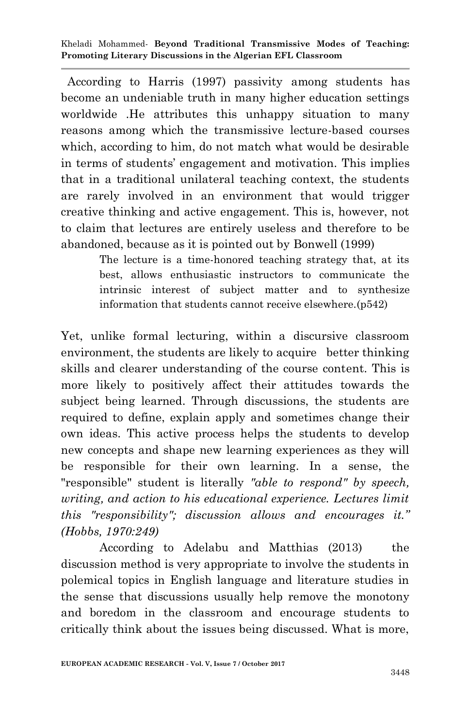According to Harris (1997) passivity among students has become an undeniable truth in many higher education settings worldwide .He attributes this unhappy situation to many reasons among which the transmissive lecture-based courses which, according to him, do not match what would be desirable in terms of students" engagement and motivation. This implies that in a traditional unilateral teaching context, the students are rarely involved in an environment that would trigger creative thinking and active engagement. This is, however, not to claim that lectures are entirely useless and therefore to be abandoned, because as it is pointed out by Bonwell (1999)

> The lecture is a time-honored teaching strategy that, at its best, allows enthusiastic instructors to communicate the intrinsic interest of subject matter and to synthesize information that students cannot receive elsewhere.(p542)

Yet, unlike formal lecturing, within a discursive classroom environment, the students are likely to acquire better thinking skills and clearer understanding of the course content. This is more likely to positively affect their attitudes towards the subject being learned. Through discussions, the students are required to define, explain apply and sometimes change their own ideas. This active process helps the students to develop new concepts and shape new learning experiences as they will be responsible for their own learning. In a sense, the "responsible" student is literally *"able to respond" by speech, writing, and action to his educational experience. Lectures limit this "responsibility"; discussion allows and encourages it." (Hobbs, 1970:249)*

According to Adelabu and Matthias (2013) the discussion method is very appropriate to involve the students in polemical topics in English language and literature studies in the sense that discussions usually help remove the monotony and boredom in the classroom and encourage students to critically think about the issues being discussed. What is more,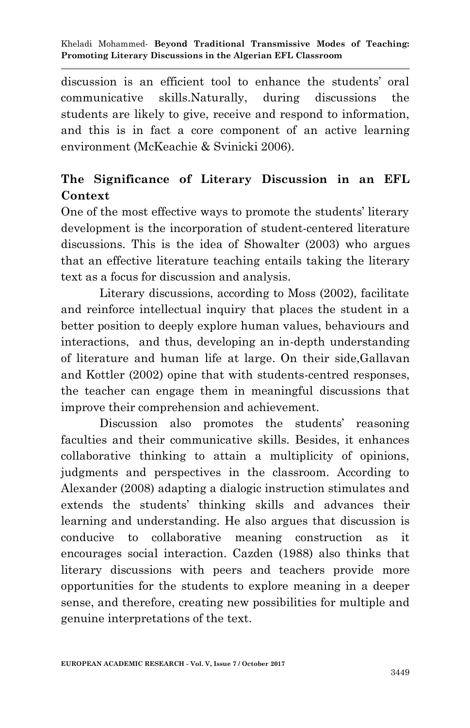discussion is an efficient tool to enhance the students' oral communicative skills.Naturally, during discussions the students are likely to give, receive and respond to information, and this is in fact a core component of an active learning environment (McKeachie & Svinicki 2006).

## **The Significance of Literary Discussion in an EFL Context**

One of the most effective ways to promote the students' literary development is the incorporation of student-centered literature discussions. This is the idea of Showalter (2003) who argues that an effective literature teaching entails taking the literary text as a focus for discussion and analysis.

Literary discussions, according to Moss (2002), facilitate and reinforce intellectual inquiry that places the student in a better position to deeply explore human values, behaviours and interactions, and thus, developing an in-depth understanding of literature and human life at large. On their side,Gallavan and Kottler (2002) opine that with students-centred responses, the teacher can engage them in meaningful discussions that improve their comprehension and achievement.

Discussion also promotes the students' reasoning faculties and their communicative skills. Besides, it enhances collaborative thinking to attain a multiplicity of opinions, judgments and perspectives in the classroom. According to Alexander (2008) adapting a dialogic instruction stimulates and extends the students" thinking skills and advances their learning and understanding. He also argues that discussion is conducive to collaborative meaning construction as it encourages social interaction. Cazden (1988) also thinks that literary discussions with peers and teachers provide more opportunities for the students to explore meaning in a deeper sense, and therefore, creating new possibilities for multiple and genuine interpretations of the text.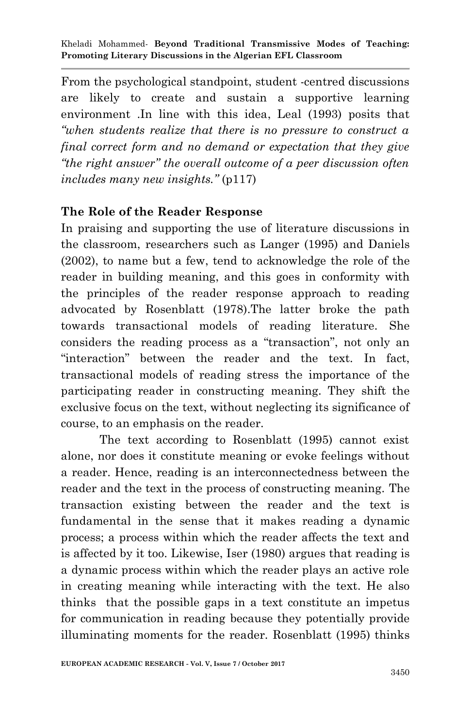From the psychological standpoint, student -centred discussions are likely to create and sustain a supportive learning environment .In line with this idea, Leal (1993) posits that *"when students realize that there is no pressure to construct a final correct form and no demand or expectation that they give "the right answer" the overall outcome of a peer discussion often includes many new insights."* (p117)

### **The Role of the Reader Response**

In praising and supporting the use of literature discussions in the classroom, researchers such as Langer (1995) and Daniels (2002), to name but a few, tend to acknowledge the role of the reader in building meaning, and this goes in conformity with the principles of the reader response approach to reading advocated by Rosenblatt (1978).The latter broke the path towards transactional models of reading literature. She considers the reading process as a "transaction", not only an "interaction" between the reader and the text. In fact, transactional models of reading stress the importance of the participating reader in constructing meaning. They shift the exclusive focus on the text, without neglecting its significance of course, to an emphasis on the reader.

The text according to Rosenblatt (1995) cannot exist alone, nor does it constitute meaning or evoke feelings without a reader. Hence, reading is an interconnectedness between the reader and the text in the process of constructing meaning. The transaction existing between the reader and the text is fundamental in the sense that it makes reading a dynamic process; a process within which the reader affects the text and is affected by it too. Likewise, Iser (1980) argues that reading is a dynamic process within which the reader plays an active role in creating meaning while interacting with the text. He also thinks that the possible gaps in a text constitute an impetus for communication in reading because they potentially provide illuminating moments for the reader. Rosenblatt (1995) thinks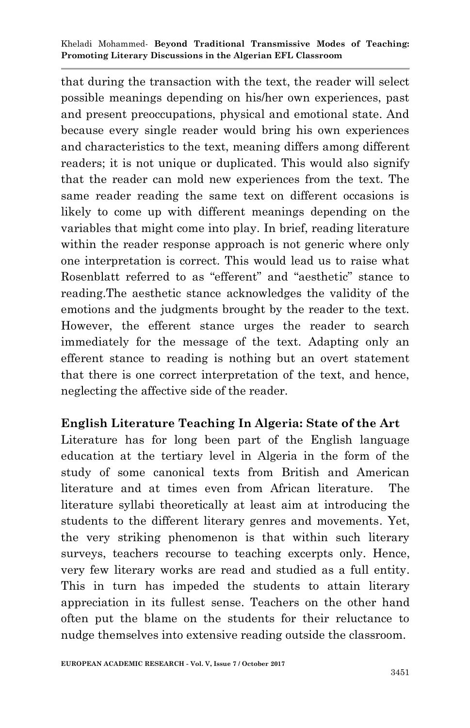that during the transaction with the text, the reader will select possible meanings depending on his/her own experiences, past and present preoccupations, physical and emotional state. And because every single reader would bring his own experiences and characteristics to the text, meaning differs among different readers; it is not unique or duplicated. This would also signify that the reader can mold new experiences from the text. The same reader reading the same text on different occasions is likely to come up with different meanings depending on the variables that might come into play. In brief, reading literature within the reader response approach is not generic where only one interpretation is correct. This would lead us to raise what Rosenblatt referred to as "efferent" and "aesthetic" stance to reading.The aesthetic stance acknowledges the validity of the emotions and the judgments brought by the reader to the text. However, the efferent stance urges the reader to search immediately for the message of the text. Adapting only an efferent stance to reading is nothing but an overt statement that there is one correct interpretation of the text, and hence, neglecting the affective side of the reader.

### **English Literature Teaching In Algeria: State of the Art**

Literature has for long been part of the English language education at the tertiary level in Algeria in the form of the study of some canonical texts from British and American literature and at times even from African literature. The literature syllabi theoretically at least aim at introducing the students to the different literary genres and movements. Yet, the very striking phenomenon is that within such literary surveys, teachers recourse to teaching excerpts only. Hence, very few literary works are read and studied as a full entity. This in turn has impeded the students to attain literary appreciation in its fullest sense. Teachers on the other hand often put the blame on the students for their reluctance to nudge themselves into extensive reading outside the classroom.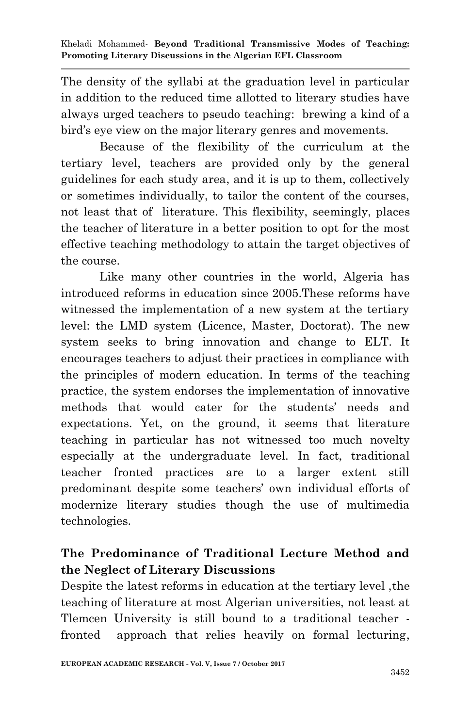The density of the syllabi at the graduation level in particular in addition to the reduced time allotted to literary studies have always urged teachers to pseudo teaching: brewing a kind of a bird"s eye view on the major literary genres and movements.

Because of the flexibility of the curriculum at the tertiary level, teachers are provided only by the general guidelines for each study area, and it is up to them, collectively or sometimes individually, to tailor the content of the courses, not least that of literature. This flexibility, seemingly, places the teacher of literature in a better position to opt for the most effective teaching methodology to attain the target objectives of the course.

Like many other countries in the world, Algeria has introduced reforms in education since 2005.These reforms have witnessed the implementation of a new system at the tertiary level: the LMD system (Licence, Master, Doctorat). The new system seeks to bring innovation and change to ELT. It encourages teachers to adjust their practices in compliance with the principles of modern education. In terms of the teaching practice, the system endorses the implementation of innovative methods that would cater for the students" needs and expectations. Yet, on the ground, it seems that literature teaching in particular has not witnessed too much novelty especially at the undergraduate level. In fact, traditional teacher fronted practices are to a larger extent still predominant despite some teachers" own individual efforts of modernize literary studies though the use of multimedia technologies.

## **The Predominance of Traditional Lecture Method and the Neglect of Literary Discussions**

Despite the latest reforms in education at the tertiary level ,the teaching of literature at most Algerian universities, not least at Tlemcen University is still bound to a traditional teacher fronted approach that relies heavily on formal lecturing,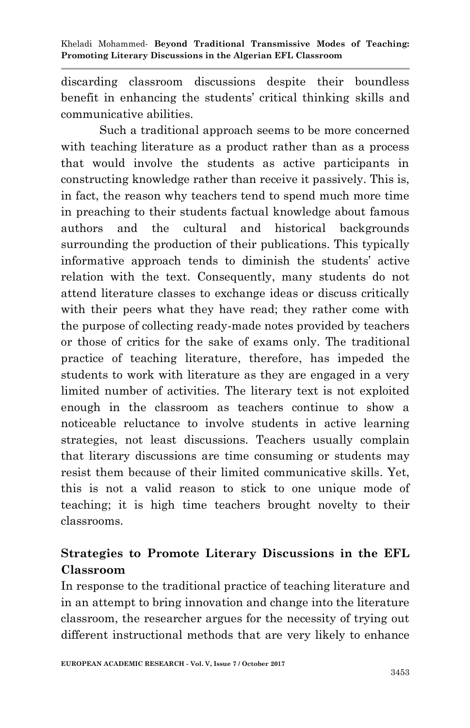discarding classroom discussions despite their boundless benefit in enhancing the students' critical thinking skills and communicative abilities.

Such a traditional approach seems to be more concerned with teaching literature as a product rather than as a process that would involve the students as active participants in constructing knowledge rather than receive it passively. This is, in fact, the reason why teachers tend to spend much more time in preaching to their students factual knowledge about famous authors and the cultural and historical backgrounds surrounding the production of their publications. This typically informative approach tends to diminish the students" active relation with the text. Consequently, many students do not attend literature classes to exchange ideas or discuss critically with their peers what they have read; they rather come with the purpose of collecting ready-made notes provided by teachers or those of critics for the sake of exams only. The traditional practice of teaching literature, therefore, has impeded the students to work with literature as they are engaged in a very limited number of activities. The literary text is not exploited enough in the classroom as teachers continue to show a noticeable reluctance to involve students in active learning strategies, not least discussions. Teachers usually complain that literary discussions are time consuming or students may resist them because of their limited communicative skills. Yet, this is not a valid reason to stick to one unique mode of teaching; it is high time teachers brought novelty to their classrooms.

## **Strategies to Promote Literary Discussions in the EFL Classroom**

In response to the traditional practice of teaching literature and in an attempt to bring innovation and change into the literature classroom, the researcher argues for the necessity of trying out different instructional methods that are very likely to enhance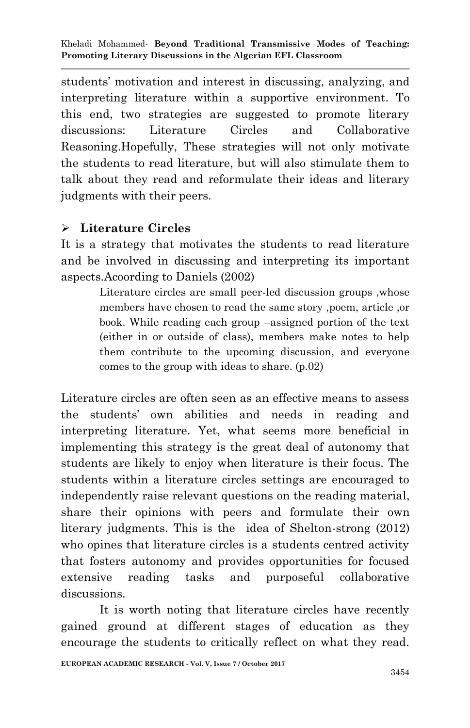students" motivation and interest in discussing, analyzing, and interpreting literature within a supportive environment. To this end, two strategies are suggested to promote literary discussions: Literature Circles and Collaborative Reasoning.Hopefully, These strategies will not only motivate the students to read literature, but will also stimulate them to talk about they read and reformulate their ideas and literary judgments with their peers.

### **Literature Circles**

It is a strategy that motivates the students to read literature and be involved in discussing and interpreting its important aspects.Acoording to Daniels (2002)

> Literature circles are small peer-led discussion groups ,whose members have chosen to read the same story ,poem, article ,or book. While reading each group –assigned portion of the text (either in or outside of class), members make notes to help them contribute to the upcoming discussion, and everyone comes to the group with ideas to share. (p.02)

Literature circles are often seen as an effective means to assess the students" own abilities and needs in reading and interpreting literature. Yet, what seems more beneficial in implementing this strategy is the great deal of autonomy that students are likely to enjoy when literature is their focus. The students within a literature circles settings are encouraged to independently raise relevant questions on the reading material, share their opinions with peers and formulate their own literary judgments. This is the idea of Shelton-strong (2012) who opines that literature circles is a students centred activity that fosters autonomy and provides opportunities for focused extensive reading tasks and purposeful collaborative discussions.

 It is worth noting that literature circles have recently gained ground at different stages of education as they encourage the students to critically reflect on what they read.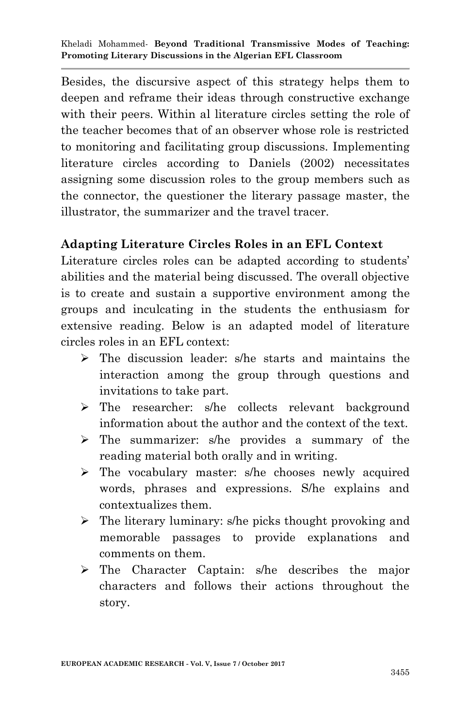Besides, the discursive aspect of this strategy helps them to deepen and reframe their ideas through constructive exchange with their peers. Within al literature circles setting the role of the teacher becomes that of an observer whose role is restricted to monitoring and facilitating group discussions. Implementing literature circles according to Daniels (2002) necessitates assigning some discussion roles to the group members such as the connector, the questioner the literary passage master, the illustrator, the summarizer and the travel tracer.

### **Adapting Literature Circles Roles in an EFL Context**

Literature circles roles can be adapted according to students' abilities and the material being discussed. The overall objective is to create and sustain a supportive environment among the groups and inculcating in the students the enthusiasm for extensive reading. Below is an adapted model of literature circles roles in an EFL context:

- $\triangleright$  The discussion leader: s/he starts and maintains the interaction among the group through questions and invitations to take part.
- > The researcher: s/he collects relevant background information about the author and the context of the text.
- The summarizer: s/he provides a summary of the reading material both orally and in writing.
- $\triangleright$  The vocabulary master: s/he chooses newly acquired words, phrases and expressions. S/he explains and contextualizes them.
- $\triangleright$  The literary luminary: s/he picks thought provoking and memorable passages to provide explanations and comments on them.
- The Character Captain: s/he describes the major characters and follows their actions throughout the story.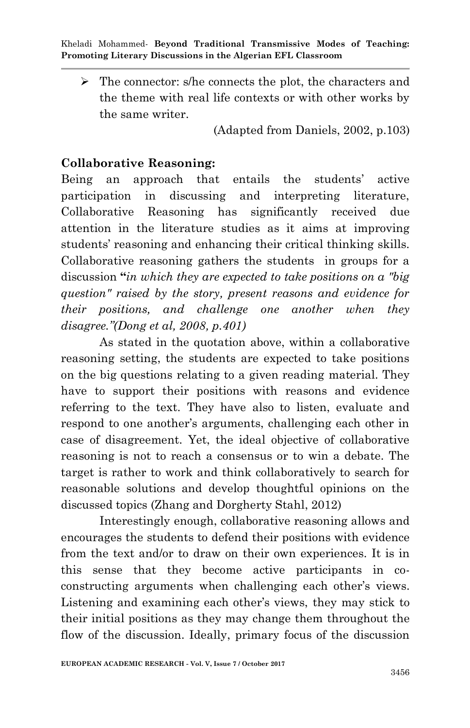$\triangleright$  The connector: s/he connects the plot, the characters and the theme with real life contexts or with other works by the same writer.

(Adapted from Daniels, 2002, p.103)

### **Collaborative Reasoning:**

Being an approach that entails the students' active participation in discussing and interpreting literature, Collaborative Reasoning has significantly received due attention in the literature studies as it aims at improving students' reasoning and enhancing their critical thinking skills. Collaborative reasoning gathers the students in groups for a discussion **"***in which they are expected to take positions on a "big question" raised by the story, present reasons and evidence for their positions, and challenge one another when they disagree."(Dong et al, 2008, p.401)*

As stated in the quotation above, within a collaborative reasoning setting, the students are expected to take positions on the big questions relating to a given reading material. They have to support their positions with reasons and evidence referring to the text. They have also to listen, evaluate and respond to one another's arguments, challenging each other in case of disagreement. Yet, the ideal objective of collaborative reasoning is not to reach a consensus or to win a debate. The target is rather to work and think collaboratively to search for reasonable solutions and develop thoughtful opinions on the discussed topics (Zhang and Dorgherty Stahl, 2012)

Interestingly enough, collaborative reasoning allows and encourages the students to defend their positions with evidence from the text and/or to draw on their own experiences. It is in this sense that they become active participants in coconstructing arguments when challenging each other's views. Listening and examining each other"s views, they may stick to their initial positions as they may change them throughout the flow of the discussion. Ideally, primary focus of the discussion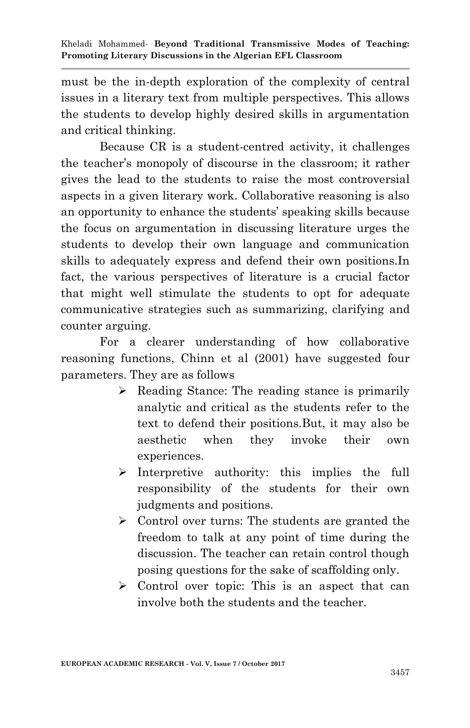must be the in-depth exploration of the complexity of central issues in a literary text from multiple perspectives. This allows the students to develop highly desired skills in argumentation and critical thinking.

Because CR is a student-centred activity, it challenges the teacher"s monopoly of discourse in the classroom; it rather gives the lead to the students to raise the most controversial aspects in a given literary work. Collaborative reasoning is also an opportunity to enhance the students" speaking skills because the focus on argumentation in discussing literature urges the students to develop their own language and communication skills to adequately express and defend their own positions.In fact, the various perspectives of literature is a crucial factor that might well stimulate the students to opt for adequate communicative strategies such as summarizing, clarifying and counter arguing.

For a clearer understanding of how collaborative reasoning functions, Chinn et al (2001) have suggested four parameters. They are as follows

- $\triangleright$  Reading Stance: The reading stance is primarily analytic and critical as the students refer to the text to defend their positions.But, it may also be aesthetic when they invoke their own experiences.
- $\triangleright$  Interpretive authority: this implies the full responsibility of the students for their own judgments and positions.
- $\triangleright$  Control over turns: The students are granted the freedom to talk at any point of time during the discussion. The teacher can retain control though posing questions for the sake of scaffolding only.
- $\triangleright$  Control over topic: This is an aspect that can involve both the students and the teacher.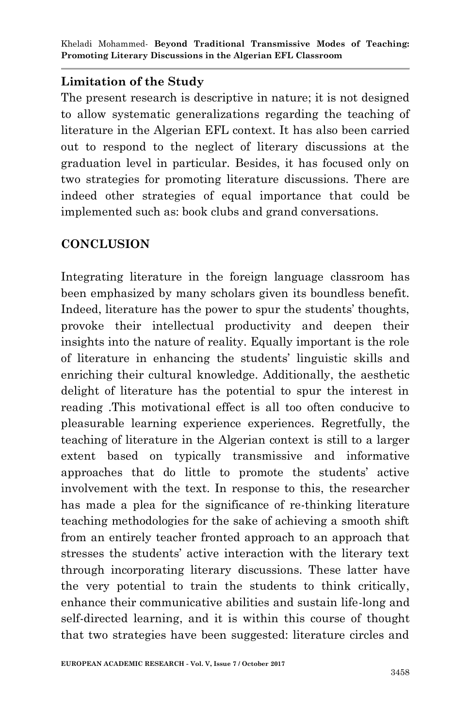### **Limitation of the Study**

The present research is descriptive in nature; it is not designed to allow systematic generalizations regarding the teaching of literature in the Algerian EFL context. It has also been carried out to respond to the neglect of literary discussions at the graduation level in particular. Besides, it has focused only on two strategies for promoting literature discussions. There are indeed other strategies of equal importance that could be implemented such as: book clubs and grand conversations.

### **CONCLUSION**

Integrating literature in the foreign language classroom has been emphasized by many scholars given its boundless benefit. Indeed, literature has the power to spur the students' thoughts, provoke their intellectual productivity and deepen their insights into the nature of reality. Equally important is the role of literature in enhancing the students" linguistic skills and enriching their cultural knowledge. Additionally, the aesthetic delight of literature has the potential to spur the interest in reading .This motivational effect is all too often conducive to pleasurable learning experience experiences. Regretfully, the teaching of literature in the Algerian context is still to a larger extent based on typically transmissive and informative approaches that do little to promote the students" active involvement with the text. In response to this, the researcher has made a plea for the significance of re-thinking literature teaching methodologies for the sake of achieving a smooth shift from an entirely teacher fronted approach to an approach that stresses the students" active interaction with the literary text through incorporating literary discussions. These latter have the very potential to train the students to think critically, enhance their communicative abilities and sustain life-long and self-directed learning, and it is within this course of thought that two strategies have been suggested: literature circles and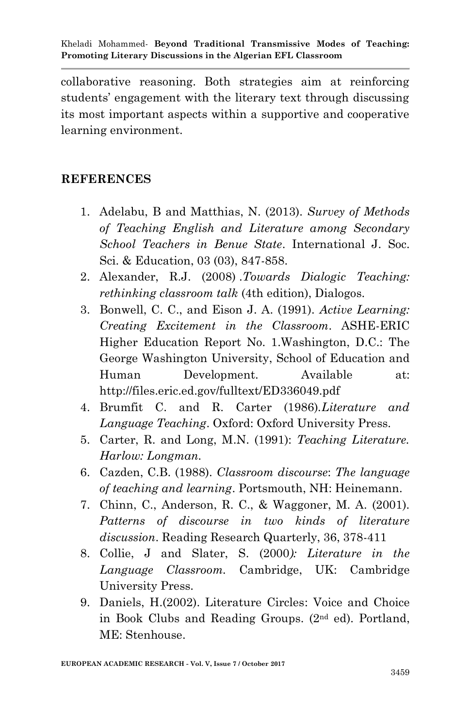collaborative reasoning. Both strategies aim at reinforcing students" engagement with the literary text through discussing its most important aspects within a supportive and cooperative learning environment.

### **REFERENCES**

- 1. Adelabu, B and Matthias, N. (2013). *Survey of Methods of Teaching English and Literature among Secondary School Teachers in Benue State*. International J. Soc. Sci. & Education, 03 (03), 847-858.
- 2. Alexander, R.J. (2008) .*Towards Dialogic Teaching: rethinking classroom talk* (4th edition), Dialogos.
- 3. Bonwell, C. C., and Eison J. A. (1991). *Active Learning: Creating Excitement in the Classroom*. ASHE-ERIC Higher Education Report No. 1.Washington, D.C.: The George Washington University, School of Education and Human Development. Available at: http://files.eric.ed.gov/fulltext/ED336049.pdf
- 4. Brumfit C. and R. Carter (1986).*Literature and Language Teaching*. Oxford: Oxford University Press.
- 5. Carter, R. and Long, M.N. (1991): *Teaching Literature. Harlow: Longman.*
- 6. Cazden, C.B. (1988). *Classroom discourse*: *The language of teaching and learning*. Portsmouth, NH: Heinemann.
- 7. Chinn, C., Anderson, R. C., & Waggoner, M. A. (2001). *Patterns of discourse in two kinds of literature discussion*. Reading Research Quarterly, 36, 378-411
- 8. Collie, J and Slater, S. (2000*): Literature in the Language Classroom.* Cambridge, UK: Cambridge University Press.
- 9. Daniels, H.(2002). Literature Circles: Voice and Choice in Book Clubs and Reading Groups. (2nd ed). Portland, ME: Stenhouse.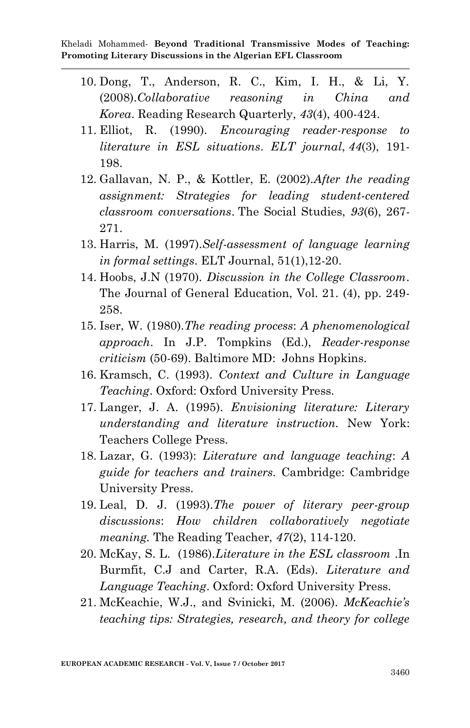- 10. Dong, T., Anderson, R. C., Kim, I. H., & Li, Y. (2008).*Collaborative reasoning in China and Korea*. Reading Research Quarterly, *43*(4), 400-424.
- 11. Elliot, R. (1990). *Encouraging reader-response to literature in ESL situations*. *ELT journal*, *44*(3), 191- 198.
- 12. Gallavan, N. P., & Kottler, E. (2002).*After the reading assignment: Strategies for leading student-centered classroom conversations*. The Social Studies, *93*(6), 267- 271.
- 13. Harris, M. (1997).*Self-assessment of language learning in formal settings*. ELT Journal, 51(1),12-20.
- 14. Hoobs, J.N (1970). *Discussion in the College Classroom*. The Journal of General Education, Vol. 21. (4), pp. 249- 258.
- 15. Iser, W. (1980).*The reading process*: *A phenomenological approach*. In J.P. Tompkins (Ed.), *Reader-response criticism* (50-69). Baltimore MD: Johns Hopkins.
- 16. Kramsch, C. (1993). *Context and Culture in Language Teaching*. Oxford: Oxford University Press.
- 17. Langer, J. A. (1995). *Envisioning literature: Literary understanding and literature instruction.* New York: Teachers College Press.
- 18. Lazar, G. (1993): *Literature and language teaching*: *A guide for teachers and trainers.* Cambridge: Cambridge University Press.
- 19. Leal, D. J. (1993).*The power of literary peer-group discussions*: *How children collaboratively negotiate meaning.* The Reading Teacher, *47*(2), 114-120.
- 20. McKay, S. L. (1986).*Literature in the ESL classroom* .In Burmfit, C.J and Carter, R.A. (Eds). *Literature and Language Teaching*. Oxford: Oxford University Press.
- 21. McKeachie, W.J., and Svinicki, M. (2006). *McKeachie's teaching tips: Strategies, research, and theory for college*